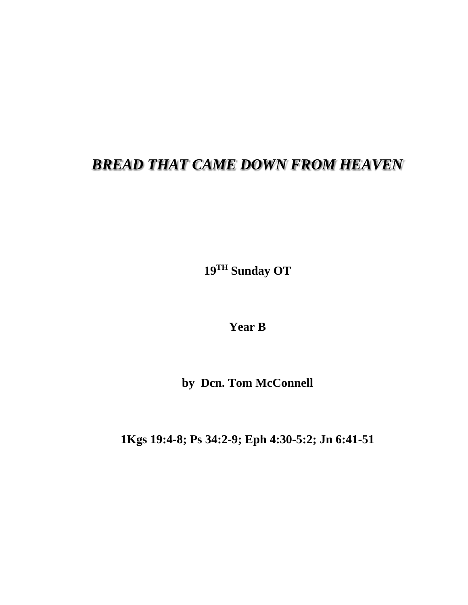## *BREAD THAT CAME DOWN FROM HEAVEN*

**19 TH Sunday OT**

**Year B**

**by Dcn. Tom McConnell**

**1Kgs 19:4-8; Ps 34:2-9; Eph 4:30-5:2; Jn 6:41-51**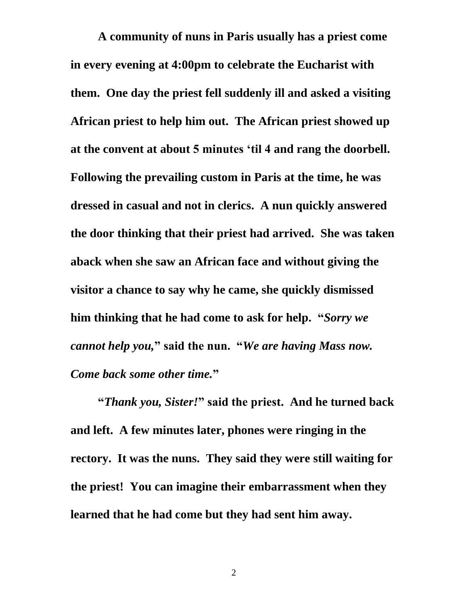**A community of nuns in Paris usually has a priest come in every evening at 4:00pm to celebrate the Eucharist with them. One day the priest fell suddenly ill and asked a visiting African priest to help him out. The African priest showed up at the convent at about 5 minutes 'til 4 and rang the doorbell. Following the prevailing custom in Paris at the time, he was dressed in casual and not in clerics. A nun quickly answered the door thinking that their priest had arrived. She was taken aback when she saw an African face and without giving the visitor a chance to say why he came, she quickly dismissed him thinking that he had come to ask for help. "***Sorry we cannot help you,***" said the nun. "***We are having Mass now. Come back some other time.***"**

**"***Thank you, Sister!***" said the priest. And he turned back and left. A few minutes later, phones were ringing in the rectory. It was the nuns. They said they were still waiting for the priest! You can imagine their embarrassment when they learned that he had come but they had sent him away.**

2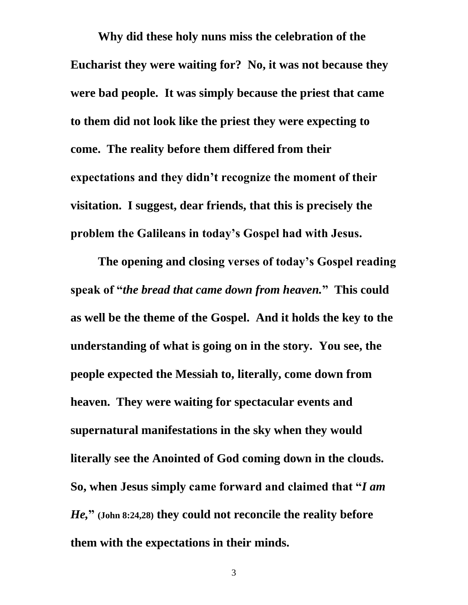**Why did these holy nuns miss the celebration of the Eucharist they were waiting for? No, it was not because they were bad people. It was simply because the priest that came to them did not look like the priest they were expecting to come. The reality before them differed from their expectations and they didn't recognize the moment of their visitation. I suggest, dear friends, that this is precisely the problem the Galileans in today's Gospel had with Jesus.**

**The opening and closing verses of today's Gospel reading speak of "***the bread that came down from heaven.***" This could as well be the theme of the Gospel. And it holds the key to the understanding of what is going on in the story. You see, the people expected the Messiah to, literally, come down from heaven. They were waiting for spectacular events and supernatural manifestations in the sky when they would literally see the Anointed of God coming down in the clouds. So, when Jesus simply came forward and claimed that "***I am He,***" (John 8:24,28) they could not reconcile the reality before them with the expectations in their minds.**

3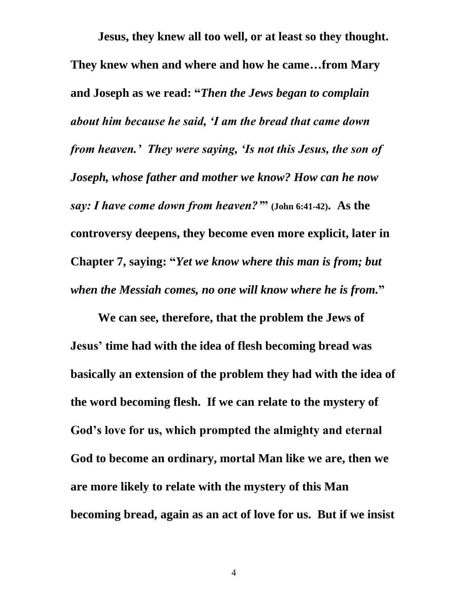**Jesus, they knew all too well, or at least so they thought. They knew when and where and how he came…from Mary and Joseph as we read: "***Then the Jews began to complain about him because he said, 'I am the bread that came down from heaven.' They were saying, 'Is not this Jesus, the son of Joseph, whose father and mother we know? How can he now say: I have come down from heaven?'***" (John 6:41-42). As the controversy deepens, they become even more explicit, later in Chapter 7, saying: "***Yet we know where this man is from; but when the Messiah comes, no one will know where he is from.***"**

**We can see, therefore, that the problem the Jews of Jesus' time had with the idea of flesh becoming bread was basically an extension of the problem they had with the idea of the word becoming flesh. If we can relate to the mystery of God's love for us, which prompted the almighty and eternal God to become an ordinary, mortal Man like we are, then we are more likely to relate with the mystery of this Man becoming bread, again as an act of love for us. But if we insist**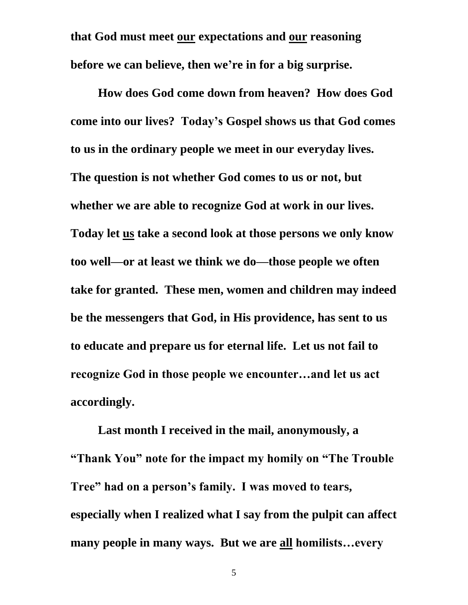**that God must meet our expectations and our reasoning before we can believe, then we're in for a big surprise.**

**How does God come down from heaven? How does God come into our lives? Today's Gospel shows us that God comes to us in the ordinary people we meet in our everyday lives. The question is not whether God comes to us or not, but whether we are able to recognize God at work in our lives. Today let us take a second look at those persons we only know too well—or at least we think we do—those people we often take for granted. These men, women and children may indeed be the messengers that God, in His providence, has sent to us to educate and prepare us for eternal life. Let us not fail to recognize God in those people we encounter…and let us act accordingly.**

**Last month I received in the mail, anonymously, a "Thank You" note for the impact my homily on "The Trouble Tree" had on a person's family. I was moved to tears, especially when I realized what I say from the pulpit can affect many people in many ways. But we are all homilists…every** 

5